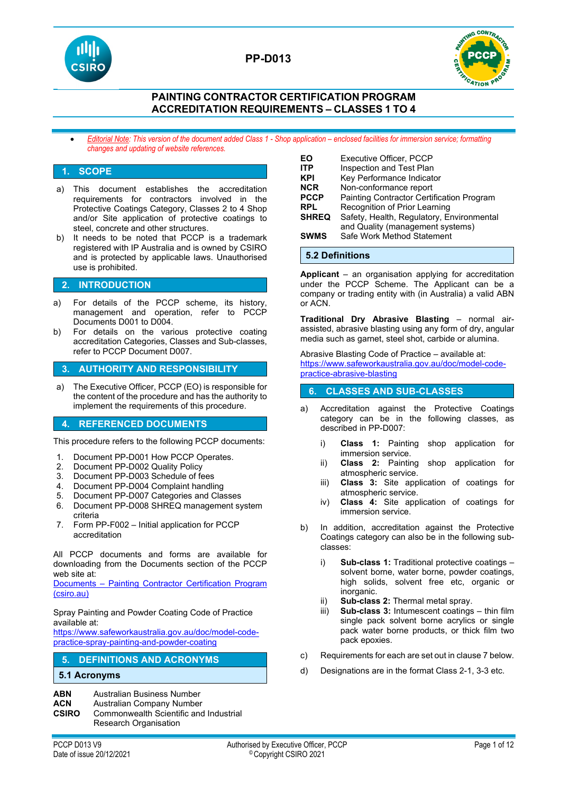

## **PP-D013**



### **PAINTING CONTRACTOR CERTIFICATION PROGRAM ACCREDITATION REQUIREMENTS – CLASSES 1 TO 4**

• *Editorial Note: This version of the document added Class 1 - Shop application – enclosed facilities for immersion service; formatting changes and updating of website references.*

### **1. SCOPE**

- a) This document establishes the accreditation requirements for contractors involved in the Protective Coatings Category, Classes 2 to 4 Shop and/or Site application of protective coatings to steel, concrete and other structures.
- b) It needs to be noted that PCCP is a trademark registered with IP Australia and is owned by CSIRO and is protected by applicable laws. Unauthorised use is prohibited.

### **2. INTRODUCTION**

- a) For details of the PCCP scheme, its history, management and operation, refer to PCCP Documents D001 to D004.
- b) For details on the various protective coating accreditation Categories, Classes and Sub-classes, refer to PCCP Document D007.

### **3. AUTHORITY AND RESPONSIBILITY**

a) The Executive Officer, PCCP (EO) is responsible for the content of the procedure and has the authority to implement the requirements of this procedure.

#### **4. REFERENCED DOCUMENTS**

This procedure refers to the following PCCP documents:

- 1. Document PP-D001 How PCCP Operates.
- 2. Document PP-D002 Quality Policy<br>3. Document PP-D003 Schedule of fe
- Document PP-D003 Schedule of fees
- 4. Document PP-D004 Complaint handling
- 5. Document PP-D007 Categories and Classes
- 6. Document PP-D008 SHREQ management system criteria
- 7. Form PP-F002 Initial application for PCCP accreditation

All PCCP documents and forms are available for downloading from the Documents section of the PCCP web site at:

Documents – [Painting Contractor Certification Program](https://vs.csiro.au/pccp/documents/)  [\(csiro.au\)](https://vs.csiro.au/pccp/documents/)

Spray Painting and Powder Coating Code of Practice available at:

[https://www.safeworkaustralia.gov.au/doc/model-code](https://www.safeworkaustralia.gov.au/doc/model-code-practice-spray-painting-and-powder-coating)[practice-spray-painting-and-powder-coating](https://www.safeworkaustralia.gov.au/doc/model-code-practice-spray-painting-and-powder-coating)

### **5. DEFINITIONS AND ACRONYMS**

#### **5.1 Acronyms**

- **ABN** Australian Business Number<br>**ACN** Australian Company Number
- **ACN** Australian Company Number<br>**CSIRO** Commonwealth Scientific and
- **Commonwealth Scientific and Industrial** Research Organisation

| EΟ<br>ITP<br>KPI<br><b>NCR</b> | <b>Executive Officer, PCCP</b><br>Inspection and Test Plan<br>Key Performance Indicator<br>Non-conformance report |
|--------------------------------|-------------------------------------------------------------------------------------------------------------------|
| <b>PCCP</b>                    | Painting Contractor Certification Program                                                                         |
| <b>RPL</b>                     | Recognition of Prior Learning                                                                                     |
| <b>SHREQ</b>                   | Safety, Health, Regulatory, Environmental<br>and Quality (management systems)                                     |
| <b>SWMS</b>                    | Safe Work Method Statement                                                                                        |

## **5.2 Definitions**

**Applicant** – an organisation applying for accreditation under the PCCP Scheme. The Applicant can be a company or trading entity with (in Australia) a valid ABN or ACN.

**Traditional Dry Abrasive Blasting** – normal airassisted, abrasive blasting using any form of dry, angular media such as garnet, steel shot, carbide or alumina.

Abrasive Blasting Code of Practice – available at: [https://www.safeworkaustralia.gov.au/doc/model-code](https://www.safeworkaustralia.gov.au/doc/model-code-practice-abrasive-blasting)[practice-abrasive-blasting](https://www.safeworkaustralia.gov.au/doc/model-code-practice-abrasive-blasting)

### **6. CLASSES AND SUB-CLASSES**

- a) Accreditation against the Protective Coatings category can be in the following classes, as described in PP-D007:
	- i) **Class 1:** Painting shop application for immersion service.
	- ii) **Class 2:** Painting shop application for atmospheric service.
	- iii) **Class 3:** Site application of coatings for atmospheric service.
	- iv) **Class 4:** Site application of coatings for immersion service.
- b) In addition, accreditation against the Protective Coatings category can also be in the following subclasses:
	- i) **Sub-class 1:** Traditional protective coatings solvent borne, water borne, powder coatings, high solids, solvent free etc, organic or inorganic.
	- ii) **Sub-class 2:** Thermal metal spray.
	- **Sub-class 3:** Intumescent coatings thin film single pack solvent borne acrylics or single pack water borne products, or thick film two pack epoxies.
- c) Requirements for each are set out in clause 7 below.
- d) Designations are in the format Class 2-1, 3-3 etc.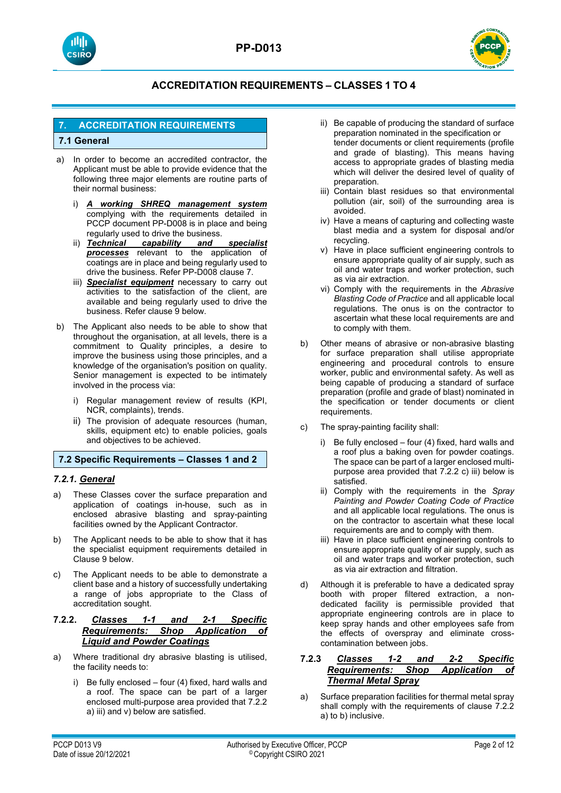



## **7. ACCREDITATION REQUIREMENTS**

### **7.1 General**

- a) In order to become an accredited contractor, the Applicant must be able to provide evidence that the following three major elements are routine parts of their normal business:
	- i) *A working SHREQ management system* complying with the requirements detailed in PCCP document PP-D008 is in place and being regularly used to drive the business.<br>ii) **Technical capability and**
	- ii) *Technical capability and specialist processes* relevant to the application of coatings are in place and being regularly used to drive the business. Refer PP-D008 clause 7.
	- iii) *Specialist equipment* necessary to carry out activities to the satisfaction of the client, are available and being regularly used to drive the business. Refer clause 9 below.
- b) The Applicant also needs to be able to show that throughout the organisation, at all levels, there is a commitment to Quality principles, a desire to improve the business using those principles, and a knowledge of the organisation's position on quality. Senior management is expected to be intimately involved in the process via:
	- i) Regular management review of results (KPI, NCR, complaints), trends.
	- ii) The provision of adequate resources (human, skills, equipment etc) to enable policies, goals and objectives to be achieved.

#### **7.2 Specific Requirements – Classes 1 and 2**

#### *7.2.1. General*

- a) These Classes cover the surface preparation and application of coatings in-house, such as in enclosed abrasive blasting and spray-painting facilities owned by the Applicant Contractor.
- b) The Applicant needs to be able to show that it has the specialist equipment requirements detailed in Clause 9 below.
- c) The Applicant needs to be able to demonstrate a client base and a history of successfully undertaking a range of jobs appropriate to the Class of accreditation sought.

### **7.2.2.** *Classes 1-1 and 2-1 Specific Requirements: Shop Application of Liquid and Powder Coatings*

- a) Where traditional dry abrasive blasting is utilised, the facility needs to:
	- i) Be fully enclosed four (4) fixed, hard walls and a roof. The space can be part of a larger enclosed multi-purpose area provided that 7.2.2 a) iii) and v) below are satisfied.
- ii) Be capable of producing the standard of surface preparation nominated in the specification or tender documents or client requirements (profile and grade of blasting). This means having access to appropriate grades of blasting media which will deliver the desired level of quality of preparation.
- iii) Contain blast residues so that environmental pollution (air, soil) of the surrounding area is avoided.
- iv) Have a means of capturing and collecting waste blast media and a system for disposal and/or recycling.
- v) Have in place sufficient engineering controls to ensure appropriate quality of air supply, such as oil and water traps and worker protection, such as via air extraction.
- vi) Comply with the requirements in the *Abrasive Blasting Code of Practice* and all applicable local regulations. The onus is on the contractor to ascertain what these local requirements are and to comply with them.
- b) Other means of abrasive or non-abrasive blasting for surface preparation shall utilise appropriate engineering and procedural controls to ensure worker, public and environmental safety. As well as being capable of producing a standard of surface preparation (profile and grade of blast) nominated in the specification or tender documents or client requirements.
- c) The spray-painting facility shall:
	- i) Be fully enclosed four (4) fixed, hard walls and a roof plus a baking oven for powder coatings. The space can be part of a larger enclosed multipurpose area provided that 7.2.2 c) iii) below is satisfied.
	- ii) Comply with the requirements in the *Spray Painting and Powder Coating Code of Practice* and all applicable local regulations. The onus is on the contractor to ascertain what these local requirements are and to comply with them.
	- iii) Have in place sufficient engineering controls to ensure appropriate quality of air supply, such as oil and water traps and worker protection, such as via air extraction and filtration.
- d) Although it is preferable to have a dedicated spray booth with proper filtered extraction, a nondedicated facility is permissible provided that appropriate engineering controls are in place to keep spray hands and other employees safe from the effects of overspray and eliminate crosscontamination between jobs.

### **7.2.3** *Classes 1-2 and 2-2 Specific Requirements: Shop Application of Thermal Metal Spray*

a) Surface preparation facilities for thermal metal spray shall comply with the requirements of clause 7.2.2 a) to b) inclusive.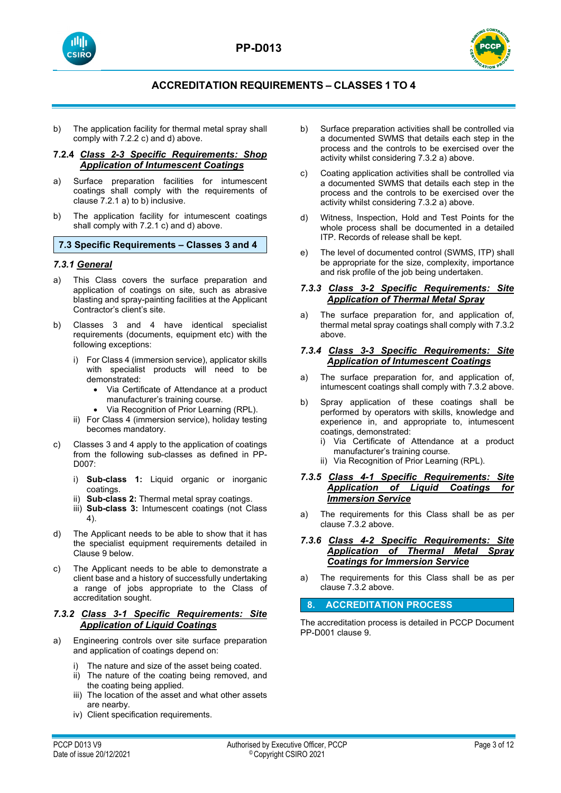





b) The application facility for thermal metal spray shall comply with 7.2.2 c) and d) above.

### **7.2.4** *Class 2-3 Specific Requirements: Shop Application of Intumescent Coatings*

- a) Surface preparation facilities for intumescent coatings shall comply with the requirements of clause 7.2.1 a) to b) inclusive.
- b) The application facility for intumescent coatings shall comply with 7.2.1 c) and d) above.

**7.3 Specific Requirements – Classes 3 and 4**

### *7.3.1 General*

- a) This Class covers the surface preparation and application of coatings on site, such as abrasive blasting and spray-painting facilities at the Applicant Contractor's client's site.
- b) Classes 3 and 4 have identical specialist requirements (documents, equipment etc) with the following exceptions:
	- i) For Class 4 (immersion service), applicator skills with specialist products will need to be demonstrated:
		- Via Certificate of Attendance at a product manufacturer's training course.
		- Via Recognition of Prior Learning (RPL).
	- ii) For Class 4 (immersion service), holiday testing becomes mandatory.
- c) Classes 3 and 4 apply to the application of coatings from the following sub-classes as defined in PP-D007:
	- i) **Sub-class 1:** Liquid organic or inorganic coatings.
	- ii) **Sub-class 2:** Thermal metal spray coatings.
	- iii) **Sub-class 3:** Intumescent coatings (not Class 4).
- d) The Applicant needs to be able to show that it has the specialist equipment requirements detailed in Clause 9 below.
- c) The Applicant needs to be able to demonstrate a client base and a history of successfully undertaking a range of jobs appropriate to the Class of accreditation sought.

### *7.3.2 Class 3-1 Specific Requirements: Site Application of Liquid Coatings*

- a) Engineering controls over site surface preparation and application of coatings depend on:
	- The nature and size of the asset being coated.
	- ii) The nature of the coating being removed, and the coating being applied.
	- iii) The location of the asset and what other assets are nearby.
	- iv) Client specification requirements.
- b) Surface preparation activities shall be controlled via a documented SWMS that details each step in the process and the controls to be exercised over the activity whilst considering 7.3.2 a) above.
- c) Coating application activities shall be controlled via a documented SWMS that details each step in the process and the controls to be exercised over the activity whilst considering 7.3.2 a) above.
- d) Witness, Inspection, Hold and Test Points for the whole process shall be documented in a detailed ITP. Records of release shall be kept.
- e) The level of documented control (SWMS, ITP) shall be appropriate for the size, complexity, importance and risk profile of the job being undertaken.

### *7.3.3 Class 3-2 Specific Requirements: Site Application of Thermal Metal Spray*

a) The surface preparation for, and application of, thermal metal spray coatings shall comply with 7.3.2 above.

#### *7.3.4 Class 3-3 Specific Requirements: Site Application of Intumescent Coatings*

- a) The surface preparation for, and application of, intumescent coatings shall comply with 7.3.2 above.
- b) Spray application of these coatings shall be performed by operators with skills, knowledge and experience in, and appropriate to, intumescent coatings, demonstrated:
	- i) Via Certificate of Attendance at a product manufacturer's training course.
	- ii) Via Recognition of Prior Learning (RPL).

### *7.3.5 Class 4-1 Specific Requirements: Site Application of Liquid Coatings for Immersion Service*

a) The requirements for this Class shall be as per clause 7.3.2 above.

#### *7.3.6 Class 4-2 Specific Requirements: Site Application of Thermal Metal Spray Coatings for Immersion Service*

a) The requirements for this Class shall be as per clause 7.3.2 above.

### **8. ACCREDITATION PROCESS**

The accreditation process is detailed in PCCP Document PP-D001 clause 9.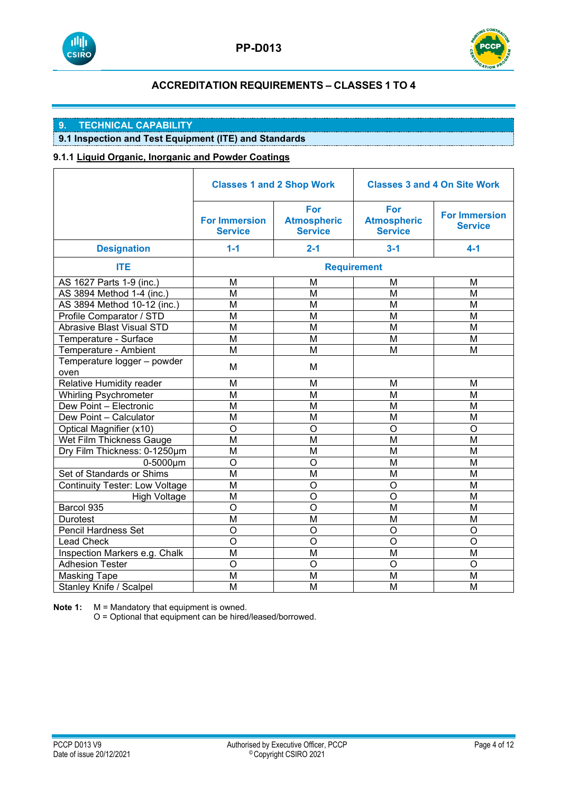



# **9. TECHNICAL CAPABILITY**

## **9.1 Inspection and Test Equipment (ITE) and Standards**

### **9.1.1 Liquid Organic, Inorganic and Powder Coatings**

|                                       | <b>Classes 1 and 2 Shop Work</b>       |                                             | <b>Classes 3 and 4 On Site Work</b>         |                                        |
|---------------------------------------|----------------------------------------|---------------------------------------------|---------------------------------------------|----------------------------------------|
|                                       | <b>For Immersion</b><br><b>Service</b> | For<br><b>Atmospheric</b><br><b>Service</b> | For<br><b>Atmospheric</b><br><b>Service</b> | <b>For Immersion</b><br><b>Service</b> |
| <b>Designation</b>                    | $1 - 1$                                | $2 - 1$                                     | $3 - 1$                                     | $4 - 1$                                |
| <b>ITE</b>                            |                                        |                                             | <b>Requirement</b>                          |                                        |
| AS 1627 Parts 1-9 (inc.)              | M                                      | M                                           | M                                           | М                                      |
| AS 3894 Method 1-4 (inc.)             | M                                      | M                                           | M                                           | M                                      |
| AS 3894 Method 10-12 (inc.)           | M                                      | M                                           | M                                           | M                                      |
| Profile Comparator / STD              | M                                      | M                                           | M                                           | M                                      |
| <b>Abrasive Blast Visual STD</b>      | $\overline{M}$                         | M                                           | M                                           | M                                      |
| Temperature - Surface                 | M                                      | M                                           | M                                           | M                                      |
| Temperature - Ambient                 | M                                      | M                                           | M                                           | M                                      |
| Temperature logger - powder<br>oven   | M                                      | M                                           |                                             |                                        |
| Relative Humidity reader              | M                                      | M                                           | M                                           | M                                      |
| <b>Whirling Psychrometer</b>          | M                                      | M                                           | M                                           | M                                      |
| Dew Point - Electronic                | M                                      | M                                           | M                                           | M                                      |
| Dew Point - Calculator                | M                                      | M                                           | M                                           | M                                      |
| Optical Magnifier (x10)               | O                                      | O                                           | $\overline{O}$                              | O                                      |
| Wet Film Thickness Gauge              | M                                      | M                                           | M                                           | M                                      |
| Dry Film Thickness: 0-1250um          | M                                      | M                                           | M                                           | M                                      |
| $0-5000 \mu m$                        | O                                      | O                                           | M                                           | M                                      |
| Set of Standards or Shims             | M                                      | M                                           | M                                           | M                                      |
| <b>Continuity Tester: Low Voltage</b> | M                                      | O                                           | O                                           | M                                      |
| <b>High Voltage</b>                   | M                                      | $\circ$                                     | $\overline{O}$                              | M                                      |
| Barcol 935                            | O                                      | $\overline{O}$                              | M                                           | M                                      |
| Durotest                              | M                                      | M                                           | M                                           | M                                      |
| <b>Pencil Hardness Set</b>            | O                                      | O                                           | $\circ$                                     | O                                      |
| <b>Lead Check</b>                     | O                                      | O                                           | $\circ$                                     | $\circ$                                |
| Inspection Markers e.g. Chalk         | M                                      | M                                           | M                                           | М                                      |
| <b>Adhesion Tester</b>                | $\circ$                                | O                                           | $\circ$                                     | O                                      |
| <b>Masking Tape</b>                   | M                                      | M                                           | M                                           | M                                      |
| Stanley Knife / Scalpel               | M                                      | M                                           | M                                           | M                                      |

**Note 1:** M = Mandatory that equipment is owned.

O = Optional that equipment can be hired/leased/borrowed.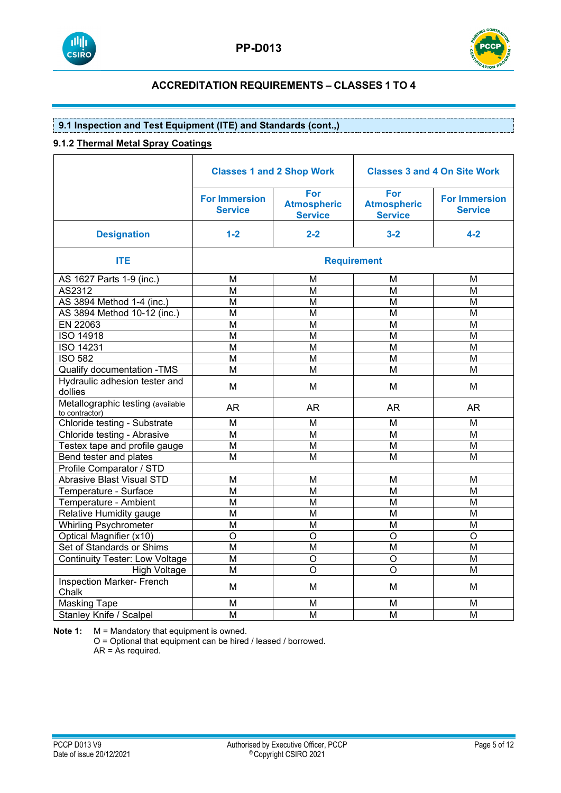



### **9.1 Inspection and Test Equipment (ITE) and Standards (cont.,)**

### **9.1.2 Thermal Metal Spray Coatings**

|                                                     | <b>Classes 1 and 2 Shop Work</b>       |                                             | <b>Classes 3 and 4 On Site Work</b>         |                                        |
|-----------------------------------------------------|----------------------------------------|---------------------------------------------|---------------------------------------------|----------------------------------------|
|                                                     | <b>For Immersion</b><br><b>Service</b> | For<br><b>Atmospheric</b><br><b>Service</b> | For<br><b>Atmospheric</b><br><b>Service</b> | <b>For Immersion</b><br><b>Service</b> |
| <b>Designation</b>                                  | $1-2$                                  | $2 - 2$                                     | $3 - 2$                                     | $4 - 2$                                |
| <b>ITE</b>                                          |                                        |                                             | <b>Requirement</b>                          |                                        |
| AS 1627 Parts 1-9 (inc.)                            | M                                      | м                                           | м                                           | м                                      |
| AS2312                                              | M                                      | M                                           | M                                           | M                                      |
| AS 3894 Method 1-4 (inc.)                           | M                                      | M                                           | M                                           | M                                      |
| AS 3894 Method 10-12 (inc.)                         | M                                      | М                                           | М                                           | М                                      |
| EN 22063                                            | M                                      | M                                           | M                                           | M                                      |
| <b>ISO 14918</b>                                    | M                                      | M                                           | M                                           | M                                      |
| <b>ISO 14231</b>                                    | M                                      | M                                           | M                                           | M                                      |
| <b>ISO 582</b>                                      | M                                      | M                                           | M                                           | M                                      |
| Qualify documentation - TMS                         | M                                      | M                                           | M                                           | M                                      |
| Hydraulic adhesion tester and<br>dollies            | M                                      | M                                           | M                                           | M                                      |
| Metallographic testing (available<br>to contractor) | <b>AR</b>                              | <b>AR</b>                                   | <b>AR</b>                                   | AR                                     |
| Chloride testing - Substrate                        | M                                      | M                                           | M                                           | M                                      |
| Chloride testing - Abrasive                         | M                                      | М                                           | M                                           | M                                      |
| Testex tape and profile gauge                       | M                                      | M                                           | M                                           | M                                      |
| Bend tester and plates                              | M                                      | M                                           | M                                           | M                                      |
| Profile Comparator / STD                            |                                        |                                             |                                             |                                        |
| <b>Abrasive Blast Visual STD</b>                    | M                                      | M                                           | M                                           | M                                      |
| Temperature - Surface                               | M                                      | M                                           | M                                           | M                                      |
| Temperature - Ambient                               | M                                      | M                                           | M                                           | M                                      |
| Relative Humidity gauge                             | M                                      | M                                           | M                                           | M                                      |
| <b>Whirling Psychrometer</b>                        | M                                      | M                                           | M                                           | M                                      |
| Optical Magnifier (x10)                             | $\circ$                                | $\circ$                                     | $\overline{O}$                              | $\overline{O}$                         |
| Set of Standards or Shims                           | M                                      | M                                           | M                                           | M                                      |
| <b>Continuity Tester: Low Voltage</b>               | M                                      | O                                           | $\overline{O}$                              | M                                      |
| <b>High Voltage</b>                                 | M                                      | $\circ$                                     | $\circ$                                     | М                                      |
| <b>Inspection Marker- French</b><br>Chalk           | M                                      | M                                           | M                                           | M                                      |
| <b>Masking Tape</b>                                 | M                                      | M                                           | M                                           | M                                      |
| <b>Stanley Knife / Scalpel</b>                      | M                                      | M                                           | M                                           | M                                      |

**Note 1:** M = Mandatory that equipment is owned.

O = Optional that equipment can be hired / leased / borrowed. AR = As required.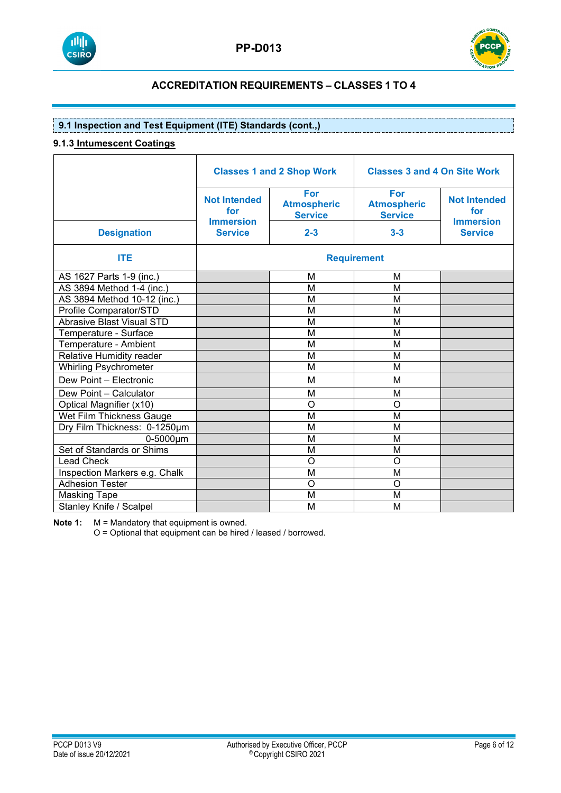



### **9.1 Inspection and Test Equipment (ITE) Standards (cont.,)**

### **9.1.3 Intumescent Coatings**

|                                  | <b>Classes 1 and 2 Shop Work</b>               |                                                    | <b>Classes 3 and 4 On Site Work</b>                |                                                |
|----------------------------------|------------------------------------------------|----------------------------------------------------|----------------------------------------------------|------------------------------------------------|
|                                  | <b>Not Intended</b><br>for<br><b>Immersion</b> | <b>For</b><br><b>Atmospheric</b><br><b>Service</b> | <b>For</b><br><b>Atmospheric</b><br><b>Service</b> | <b>Not Intended</b><br>for<br><b>Immersion</b> |
| <b>Designation</b>               | <b>Service</b>                                 | $2 - 3$                                            | $3 - 3$                                            | <b>Service</b>                                 |
| <b>ITE</b>                       |                                                |                                                    | <b>Requirement</b>                                 |                                                |
| AS 1627 Parts 1-9 (inc.)         |                                                | M                                                  | M                                                  |                                                |
| AS 3894 Method 1-4 (inc.)        |                                                | M                                                  | M                                                  |                                                |
| AS 3894 Method 10-12 (inc.)      |                                                | M                                                  | M                                                  |                                                |
| Profile Comparator/STD           |                                                | M                                                  | M                                                  |                                                |
| <b>Abrasive Blast Visual STD</b> |                                                | M                                                  | M                                                  |                                                |
| Temperature - Surface            |                                                | M                                                  | M                                                  |                                                |
| Temperature - Ambient            |                                                | M                                                  | M                                                  |                                                |
| Relative Humidity reader         |                                                | M                                                  | M                                                  |                                                |
| <b>Whirling Psychrometer</b>     |                                                | M                                                  | M                                                  |                                                |
| Dew Point - Electronic           |                                                | M                                                  | M                                                  |                                                |
| Dew Point - Calculator           |                                                | M                                                  | M                                                  |                                                |
| Optical Magnifier (x10)          |                                                | $\circ$                                            | $\circ$                                            |                                                |
| Wet Film Thickness Gauge         |                                                | M                                                  | M                                                  |                                                |
| Dry Film Thickness: 0-1250um     |                                                | M                                                  | M                                                  |                                                |
| $0-5000 \mu m$                   |                                                | M                                                  | M                                                  |                                                |
| Set of Standards or Shims        |                                                | M                                                  | M                                                  |                                                |
| <b>Lead Check</b>                |                                                | $\circ$                                            | $\circ$                                            |                                                |
| Inspection Markers e.g. Chalk    |                                                | M                                                  | M                                                  |                                                |
| <b>Adhesion Tester</b>           |                                                | $\circ$                                            | $\circ$                                            |                                                |
| <b>Masking Tape</b>              |                                                | M                                                  | M                                                  |                                                |
| Stanley Knife / Scalpel          |                                                | M                                                  | M                                                  |                                                |

**Note 1:** M = Mandatory that equipment is owned.

O = Optional that equipment can be hired / leased / borrowed.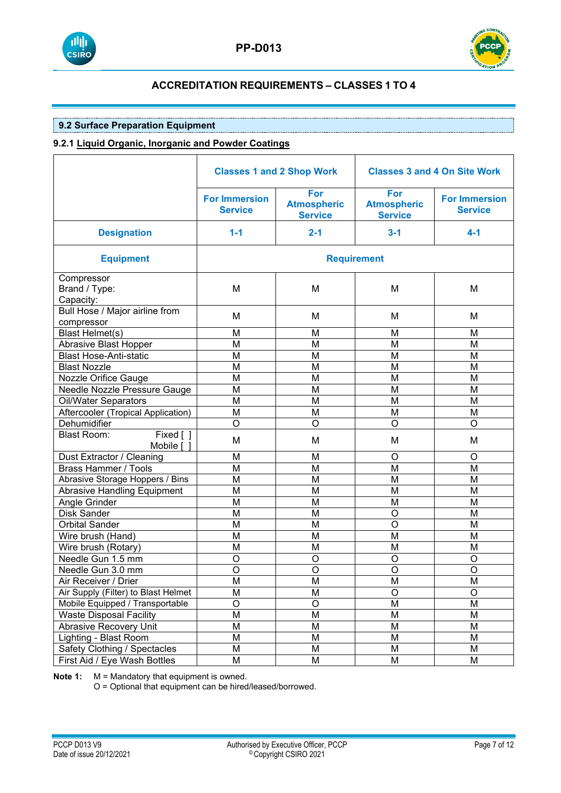



## **9.2 Surface Preparation Equipment**

### **9.2.1 Liquid Organic, Inorganic and Powder Coatings**

|                                                 | <b>Classes 1 and 2 Shop Work</b>       |                                             | <b>Classes 3 and 4 On Site Work</b>         |                                        |
|-------------------------------------------------|----------------------------------------|---------------------------------------------|---------------------------------------------|----------------------------------------|
|                                                 | <b>For Immersion</b><br><b>Service</b> | For<br><b>Atmospheric</b><br><b>Service</b> | For<br><b>Atmospheric</b><br><b>Service</b> | <b>For Immersion</b><br><b>Service</b> |
| <b>Designation</b>                              | $1 - 1$                                | $2 - 1$                                     | $3 - 1$                                     | $4 - 1$                                |
| <b>Equipment</b>                                |                                        |                                             | <b>Requirement</b>                          |                                        |
| Compressor<br>Brand / Type:<br>Capacity:        | M                                      | M                                           | M                                           | M                                      |
| Bull Hose / Major airline from<br>compressor    | M                                      | M                                           | M                                           | Μ                                      |
| <b>Blast Helmet(s)</b>                          | M                                      | M                                           | M                                           | M                                      |
| Abrasive Blast Hopper                           | M                                      | M                                           | M                                           | M                                      |
| <b>Blast Hose-Anti-static</b>                   | M                                      | M                                           | M                                           | M                                      |
| <b>Blast Nozzle</b>                             | M                                      | M                                           | M                                           | M                                      |
| Nozzle Orifice Gauge                            | M                                      | M                                           | M                                           | M                                      |
| Needle Nozzle Pressure Gauge                    | M                                      | M                                           | M                                           | M                                      |
| Oil/Water Separators                            | M                                      | M                                           | M                                           | M                                      |
| Aftercooler (Tropical Application)              | M                                      | M                                           | M                                           | M                                      |
| Dehumidifier                                    | $\circ$                                | $\circ$                                     | O                                           | O                                      |
| <b>Blast Room:</b><br>$Fixed$ [ ]<br>Mobile [ ] | M                                      | M                                           | M                                           | M                                      |
| Dust Extractor / Cleaning                       | M                                      | M                                           | O                                           | O                                      |
| <b>Brass Hammer / Tools</b>                     | M                                      | M                                           | M                                           | M                                      |
| Abrasive Storage Hoppers / Bins                 | M                                      | M                                           | M                                           | M                                      |
| <b>Abrasive Handling Equipment</b>              | M                                      | M                                           | M                                           | M                                      |
| Angle Grinder                                   | M                                      | M                                           | M                                           | M                                      |
| <b>Disk Sander</b>                              | M                                      | M                                           | O                                           | M                                      |
| <b>Orbital Sander</b>                           | M                                      | M                                           | O                                           | M                                      |
| Wire brush (Hand)                               | M                                      | M                                           | M                                           | M                                      |
| Wire brush (Rotary)                             | M                                      | M                                           | M                                           | M                                      |
| Needle Gun 1.5 mm                               | $\circ$                                | O                                           | O                                           | O                                      |
| Needle Gun 3.0 mm                               | O                                      | O                                           | O                                           | $\circ$                                |
| Air Receiver / Drier                            | M                                      | M                                           | М                                           | М                                      |
| Air Supply (Filter) to Blast Helmet             | M                                      | M                                           | O                                           | O                                      |
| Mobile Equipped / Transportable                 | $\mathsf O$                            | O                                           | M                                           | M                                      |
| <b>Waste Disposal Facility</b>                  | M                                      | M                                           | M                                           | M                                      |
| Abrasive Recovery Unit                          | M                                      | M                                           | M                                           | M                                      |
| Lighting - Blast Room                           | M                                      | M                                           | М                                           | M                                      |
| Safety Clothing / Spectacles                    | M                                      | M                                           | М                                           | М                                      |
| First Aid / Eye Wash Bottles                    | M                                      | M                                           | М                                           | М                                      |

**Note 1:** M = Mandatory that equipment is owned.

O = Optional that equipment can be hired/leased/borrowed.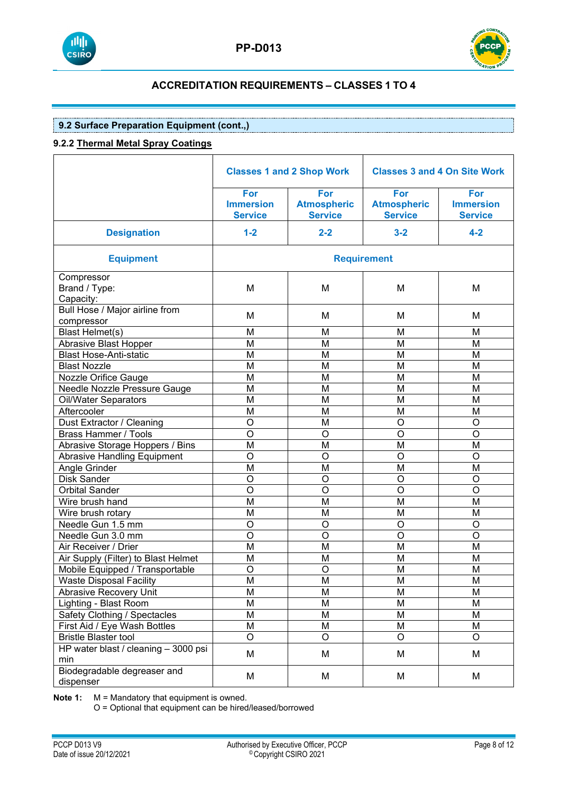



## **9.2 Surface Preparation Equipment (cont.,)**

## **9.2.2 Thermal Metal Spray Coatings**

|                                              |                                           | <b>Classes 1 and 2 Shop Work</b>            | <b>Classes 3 and 4 On Site Work</b>         |                                           |
|----------------------------------------------|-------------------------------------------|---------------------------------------------|---------------------------------------------|-------------------------------------------|
|                                              | For<br><b>Immersion</b><br><b>Service</b> | For<br><b>Atmospheric</b><br><b>Service</b> | For<br><b>Atmospheric</b><br><b>Service</b> | For<br><b>Immersion</b><br><b>Service</b> |
| <b>Designation</b>                           | $1-2$                                     | $2 - 2$                                     | $3 - 2$                                     | $4 - 2$                                   |
| <b>Equipment</b>                             |                                           |                                             | <b>Requirement</b>                          |                                           |
| Compressor<br>Brand / Type:<br>Capacity:     | M                                         | M                                           | M                                           | M                                         |
| Bull Hose / Major airline from<br>compressor | M                                         | M                                           | M                                           | M                                         |
| Blast Helmet(s)                              | M                                         | M                                           | M                                           | M                                         |
| Abrasive Blast Hopper                        | M                                         | M                                           | M                                           | M                                         |
| <b>Blast Hose-Anti-static</b>                | M                                         | M                                           | M                                           | M                                         |
| <b>Blast Nozzle</b>                          | M                                         | M                                           | M                                           | M                                         |
| Nozzle Orifice Gauge                         | M                                         | M                                           | M                                           | M                                         |
| Needle Nozzle Pressure Gauge                 | M                                         | M                                           | M                                           | M                                         |
| <b>Oil/Water Separators</b>                  | M                                         | M                                           | M                                           | M                                         |
| Aftercooler                                  | M                                         | M                                           | M                                           | M                                         |
| Dust Extractor / Cleaning                    | $\overline{\rm o}$                        | M                                           | $\circ$                                     | O                                         |
| <b>Brass Hammer / Tools</b>                  | $\overline{\mathsf{o}}$                   | $\circ$                                     | $\overline{O}$                              | $\overline{0}$                            |
| Abrasive Storage Hoppers / Bins              | $\overline{\mathsf{M}}$                   | M                                           | M                                           | M                                         |
| <b>Abrasive Handling Equipment</b>           | $\overline{\rm o}$                        | $\circ$                                     | $\circ$                                     | $\circ$                                   |
| Angle Grinder                                | $\overline{\mathsf{M}}$                   | M                                           | M                                           | M                                         |
| Disk Sander                                  | $\overline{\rm o}$                        | O                                           | $\circ$                                     | O                                         |
| <b>Orbital Sander</b>                        | $\overline{\mathsf{o}}$                   | $\overline{0}$                              | $\overline{O}$                              | $\overline{0}$                            |
| Wire brush hand                              | M                                         | M                                           | M                                           | M                                         |
| Wire brush rotary                            | M                                         | M                                           | M                                           | M                                         |
| Needle Gun 1.5 mm                            | $\overline{\rm o}$                        | O                                           | $\overline{O}$                              | O                                         |
| Needle Gun 3.0 mm                            | $\overline{\mathsf{o}}$                   | $\overline{0}$                              | $\overline{O}$                              | $\overline{0}$                            |
| Air Receiver / Drier                         | $\overline{M}$                            | M                                           | M                                           | M                                         |
| Air Supply (Filter) to Blast Helmet          | M                                         | M                                           | M                                           | M                                         |
| Mobile Equipped / Transportable              | $\overline{\rm o}$                        | O                                           | M                                           | M                                         |
| <b>Waste Disposal Facility</b>               | $\overline{M}$                            | $\overline{\mathsf{M}}$                     | M                                           | $\overline{\mathsf{M}}$                   |
| Abrasive Recovery Unit                       | M                                         | M                                           | M                                           | M                                         |
| Lighting - Blast Room                        | M                                         | M                                           | M                                           | M                                         |
| Safety Clothing / Spectacles                 | M                                         | M                                           | M                                           | M                                         |
| First Aid / Eye Wash Bottles                 | M                                         | M                                           | М                                           | M                                         |
| <b>Bristle Blaster tool</b>                  | $\overline{O}$                            | $\circ$                                     | $\circ$                                     | $\circ$                                   |
| HP water blast / cleaning - 3000 psi<br>min  | M                                         | M                                           | M                                           | M                                         |
| Biodegradable degreaser and<br>dispenser     | M                                         | M                                           | M                                           | M                                         |

**Note 1:** M = Mandatory that equipment is owned.

O = Optional that equipment can be hired/leased/borrowed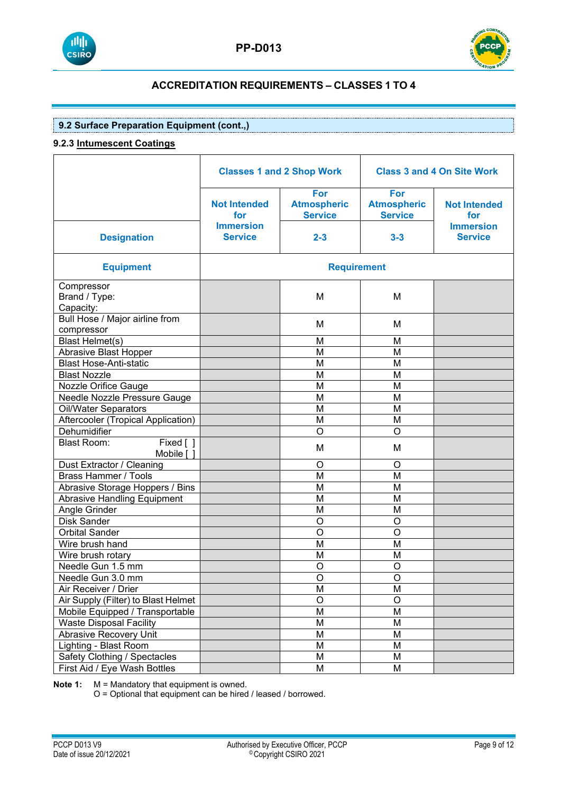



## **9.2 Surface Preparation Equipment (cont.,)**

### **9.2.3 Intumescent Coatings**

|                                               | <b>Classes 1 and 2 Shop Work</b>   |                                             | <b>Class 3 and 4 On Site Work</b>           |                                    |
|-----------------------------------------------|------------------------------------|---------------------------------------------|---------------------------------------------|------------------------------------|
|                                               | <b>Not Intended</b><br>for         | For<br><b>Atmospheric</b><br><b>Service</b> | For<br><b>Atmospheric</b><br><b>Service</b> | <b>Not Intended</b><br>for         |
| <b>Designation</b>                            | <b>Immersion</b><br><b>Service</b> | $2 - 3$                                     | $3 - 3$                                     | <b>Immersion</b><br><b>Service</b> |
| <b>Equipment</b>                              | <b>Requirement</b>                 |                                             |                                             |                                    |
| Compressor<br>Brand / Type:<br>Capacity:      |                                    | M                                           | M                                           |                                    |
| Bull Hose / Major airline from<br>compressor  |                                    | м                                           | M                                           |                                    |
| <b>Blast Helmet(s)</b>                        |                                    | M                                           | M                                           |                                    |
| Abrasive Blast Hopper                         |                                    | M                                           | M                                           |                                    |
| <b>Blast Hose-Anti-static</b>                 |                                    | M                                           | M                                           |                                    |
| <b>Blast Nozzle</b>                           |                                    | M                                           | M                                           |                                    |
| Nozzle Orifice Gauge                          |                                    | M                                           | M                                           |                                    |
| Needle Nozzle Pressure Gauge                  |                                    | M                                           | M                                           |                                    |
| Oil/Water Separators                          |                                    | M                                           | M                                           |                                    |
| Aftercooler (Tropical Application)            |                                    | M                                           | M                                           |                                    |
| Dehumidifier                                  |                                    | $\Omega$                                    | O                                           |                                    |
| <b>Blast Room:</b><br>Fixed [ ]<br>Mobile [ ] |                                    | M                                           | M                                           |                                    |
| Dust Extractor / Cleaning                     |                                    | $\circ$                                     | $\circ$                                     |                                    |
| <b>Brass Hammer / Tools</b>                   |                                    | M                                           | M                                           |                                    |
| Abrasive Storage Hoppers / Bins               |                                    | M                                           | M                                           |                                    |
| <b>Abrasive Handling Equipment</b>            |                                    | M                                           | M                                           |                                    |
| Angle Grinder                                 |                                    | M                                           | M                                           |                                    |
| Disk Sander                                   |                                    | $\circ$                                     | $\circ$                                     |                                    |
| <b>Orbital Sander</b>                         |                                    | $\circ$                                     | $\overline{O}$                              |                                    |
| Wire brush hand                               |                                    | M                                           | M                                           |                                    |
| Wire brush rotary                             |                                    | M                                           | M                                           |                                    |
| Needle Gun 1.5 mm                             |                                    | O                                           | O                                           |                                    |
| Needle Gun 3.0 mm                             |                                    | $\overline{O}$                              | $\mathsf O$                                 |                                    |
| Air Receiver / Drier                          |                                    | M                                           | M                                           |                                    |
| Air Supply (Filter) to Blast Helmet           |                                    | O                                           | $\overline{O}$                              |                                    |
| Mobile Equipped / Transportable               |                                    | M                                           | M                                           |                                    |
| <b>Waste Disposal Facility</b>                |                                    | M                                           | M                                           |                                    |
| Abrasive Recovery Unit                        |                                    | M                                           | M                                           |                                    |
| Lighting - Blast Room                         |                                    | M                                           | M                                           |                                    |
| Safety Clothing / Spectacles                  |                                    | M                                           | M                                           |                                    |
| First Aid / Eye Wash Bottles                  |                                    | M                                           | M                                           |                                    |

**Note 1:** M = Mandatory that equipment is owned.

O = Optional that equipment can be hired / leased / borrowed.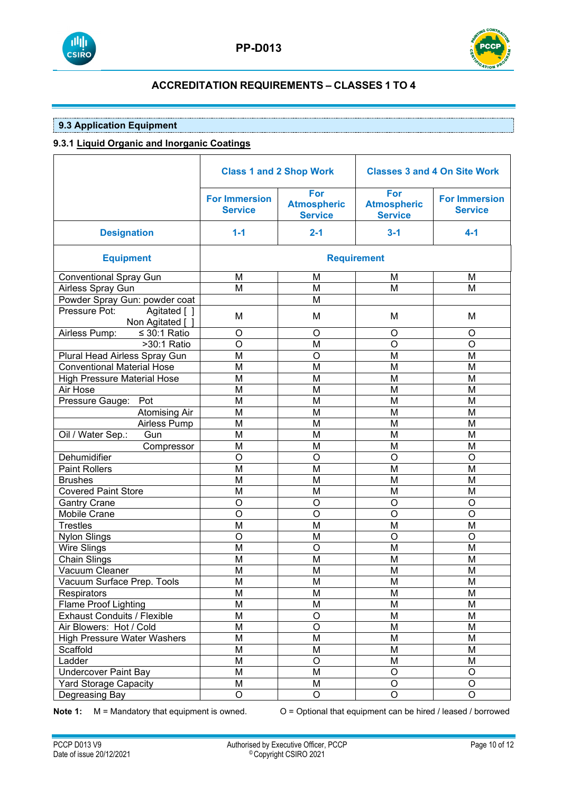



## **9.3 Application Equipment**

## **9.3.1 Liquid Organic and Inorganic Coatings**

|                                                   | <b>Class 1 and 2 Shop Work</b>         |                                             | <b>Classes 3 and 4 On Site Work</b>         |                                        |
|---------------------------------------------------|----------------------------------------|---------------------------------------------|---------------------------------------------|----------------------------------------|
|                                                   | <b>For Immersion</b><br><b>Service</b> | For<br><b>Atmospheric</b><br><b>Service</b> | For<br><b>Atmospheric</b><br><b>Service</b> | <b>For Immersion</b><br><b>Service</b> |
| <b>Designation</b>                                | $1 - 1$                                | $2 - 1$                                     | $3 - 1$                                     | $4 - 1$                                |
| <b>Equipment</b>                                  |                                        |                                             | <b>Requirement</b>                          |                                        |
| <b>Conventional Spray Gun</b>                     | M                                      | M                                           | M                                           | M                                      |
| Airless Spray Gun                                 | M                                      | M                                           | M                                           | M                                      |
| Powder Spray Gun: powder coat                     |                                        | M                                           |                                             |                                        |
| Agitated [ ]<br>Pressure Pot:<br>Non Agitated [ ] | M                                      | M                                           | M                                           | M                                      |
| Airless Pump:<br>$\leq$ 30:1 Ratio                | O                                      | O                                           | O                                           | O                                      |
| $>30:1$ Ratio                                     | O                                      | M                                           | O                                           | O                                      |
| Plural Head Airless Spray Gun                     | M                                      | $\circ$                                     | M                                           | M                                      |
| <b>Conventional Material Hose</b>                 | M                                      | M                                           | M                                           | M                                      |
| <b>High Pressure Material Hose</b>                | M                                      | M                                           | M                                           | M                                      |
| Air Hose                                          | M                                      | M                                           | M                                           | M                                      |
| Pressure Gauge:<br>Pot                            | M                                      | M                                           | M                                           | M                                      |
| <b>Atomising Air</b>                              | M                                      | M                                           | M                                           | M                                      |
| Airless Pump                                      | M                                      | M                                           | M                                           | M                                      |
| Oil / Water Sep.:<br>Gun                          | M                                      | M                                           | M                                           | M                                      |
| Compressor                                        | M                                      | M                                           | M                                           | M                                      |
| Dehumidifier                                      | O                                      | $\circ$                                     | O                                           | O                                      |
| <b>Paint Rollers</b>                              | M                                      | M                                           | M                                           | M                                      |
| <b>Brushes</b>                                    | M                                      | M                                           | M                                           | M                                      |
| <b>Covered Paint Store</b>                        | M                                      | M                                           | M                                           | M                                      |
| <b>Gantry Crane</b>                               | O                                      | $\circ$                                     | O                                           | O                                      |
| <b>Mobile Crane</b>                               | O                                      | $\circ$                                     | O                                           | O                                      |
| <b>Trestles</b>                                   | M                                      | M                                           | M                                           | M                                      |
| Nylon Slings                                      | O                                      | M                                           | O                                           | O                                      |
| <b>Wire Slings</b>                                | M                                      | $\circ$                                     | M                                           | M                                      |
| <b>Chain Slings</b>                               | M                                      | M                                           | M                                           | M                                      |
| Vacuum Cleaner                                    | M                                      | M                                           | M                                           | M                                      |
| Vacuum Surface Prep. Tools                        | M                                      | M                                           | M                                           | M                                      |
| Respirators                                       | M                                      | M                                           | M                                           | M                                      |
| <b>Flame Proof Lighting</b>                       | M                                      | M                                           | M                                           | M                                      |
| <b>Exhaust Conduits / Flexible</b>                | M                                      | O                                           | M                                           | M                                      |
| Air Blowers: Hot / Cold                           | M                                      | $\circ$                                     | M                                           | M                                      |
| <b>High Pressure Water Washers</b>                | M                                      | M                                           | M                                           | M                                      |
| Scaffold                                          | M                                      | M                                           | M                                           | M                                      |
| Ladder                                            | M                                      | $\circ$                                     | M                                           | M                                      |
| <b>Undercover Paint Bay</b>                       | M                                      | M                                           | $\circ$                                     | O                                      |
| <b>Yard Storage Capacity</b>                      | M                                      | M                                           | $\circ$                                     | $\mathsf O$                            |
| Degreasing Bay                                    | O                                      | O                                           | $\circ$                                     | $\mathsf O$                            |

**Note 1:** M = Mandatory that equipment is owned. O = Optional that equipment can be hired / leased / borrowed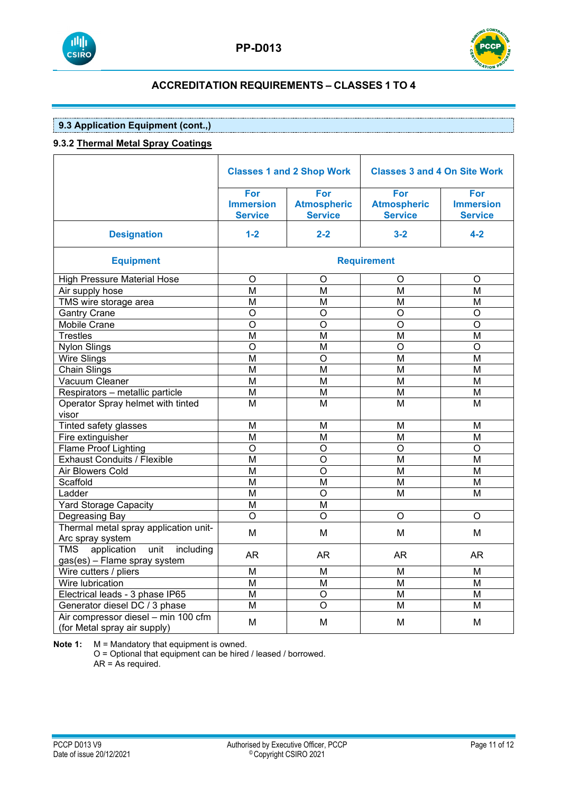



## **9.3 Application Equipment (cont.,)**

### **9.3.2 Thermal Metal Spray Coatings**

|                                                                                | <b>Classes 1 and 2 Shop Work</b>                 |                                             | <b>Classes 3 and 4 On Site Work</b>         |                                           |  |  |
|--------------------------------------------------------------------------------|--------------------------------------------------|---------------------------------------------|---------------------------------------------|-------------------------------------------|--|--|
|                                                                                | <b>For</b><br><b>Immersion</b><br><b>Service</b> | For<br><b>Atmospheric</b><br><b>Service</b> | For<br><b>Atmospheric</b><br><b>Service</b> | For<br><b>Immersion</b><br><b>Service</b> |  |  |
| <b>Designation</b>                                                             | $1-2$                                            | $2 - 2$                                     | $3 - 2$                                     | $4 - 2$                                   |  |  |
| <b>Equipment</b>                                                               |                                                  | <b>Requirement</b>                          |                                             |                                           |  |  |
| <b>High Pressure Material Hose</b>                                             | O                                                | O                                           | O                                           | $\circ$                                   |  |  |
| Air supply hose                                                                | М                                                | M                                           | M                                           | M                                         |  |  |
| TMS wire storage area                                                          | M                                                | M                                           | M                                           | M                                         |  |  |
| <b>Gantry Crane</b>                                                            | $\overline{O}$                                   | $\overline{O}$                              | $\overline{O}$                              | $\overline{O}$                            |  |  |
| Mobile Crane                                                                   | $\overline{O}$                                   | $\circ$                                     | O                                           | $\circ$                                   |  |  |
| <b>Trestles</b>                                                                | M                                                | M                                           | M                                           | M                                         |  |  |
| <b>Nylon Slings</b>                                                            | $\overline{O}$                                   | M                                           | $\circ$                                     | $\overline{O}$                            |  |  |
| <b>Wire Slings</b>                                                             | M                                                | $\overline{O}$                              | M                                           | M                                         |  |  |
| Chain Slings                                                                   | M                                                | M                                           | M                                           | M                                         |  |  |
| Vacuum Cleaner                                                                 | M                                                | M                                           | M                                           | M                                         |  |  |
| Respirators - metallic particle                                                | $\overline{\mathsf{M}}$                          | $\overline{\mathsf{M}}$                     | M                                           | M                                         |  |  |
| Operator Spray helmet with tinted<br>visor                                     | M                                                | М                                           | М                                           | М                                         |  |  |
| Tinted safety glasses                                                          | M                                                | M                                           | M                                           | M                                         |  |  |
| Fire extinguisher                                                              | $\overline{\mathsf{M}}$                          | $\overline{M}$                              | $\overline{M}$                              | $\overline{M}$                            |  |  |
| <b>Flame Proof Lighting</b>                                                    | $\overline{0}$                                   | $\overline{O}$                              | $\circ$                                     | $\overline{O}$                            |  |  |
| <b>Exhaust Conduits / Flexible</b>                                             | M                                                | $\overline{O}$                              | M                                           | M                                         |  |  |
| Air Blowers Cold                                                               | M                                                | $\circ$                                     | М                                           | M                                         |  |  |
| Scaffold                                                                       | $\overline{\mathsf{M}}$                          | $\overline{\mathsf{M}}$                     | $\overline{M}$                              | $\overline{\mathsf{M}}$                   |  |  |
| Ladder                                                                         | M                                                | $\overline{O}$                              | M                                           | $\overline{M}$                            |  |  |
| <b>Yard Storage Capacity</b>                                                   | M                                                | $\overline{\mathsf{M}}$                     |                                             |                                           |  |  |
| Degreasing Bay                                                                 | O                                                | O                                           | O                                           | $\circ$                                   |  |  |
| Thermal metal spray application unit-<br>Arc spray system                      | M                                                | M                                           | M                                           | M                                         |  |  |
| application<br>unit<br><b>TMS</b><br>including<br>gas(es) - Flame spray system | AR                                               | <b>AR</b>                                   | AR                                          | <b>AR</b>                                 |  |  |
| Wire cutters / pliers                                                          | M                                                | M                                           | M                                           | M                                         |  |  |
| Wire lubrication                                                               | M                                                | M                                           | M                                           | M                                         |  |  |
| Electrical leads - 3 phase IP65                                                | M                                                | $\circ$                                     | M                                           | M                                         |  |  |
| Generator diesel DC / 3 phase                                                  | M                                                | $\circ$                                     | M                                           | M                                         |  |  |
| Air compressor diesel - min 100 cfm<br>(for Metal spray air supply)            | M                                                | М                                           | М                                           | M                                         |  |  |

**Note 1:** M = Mandatory that equipment is owned.

O = Optional that equipment can be hired / leased / borrowed.  $AR = As required.$